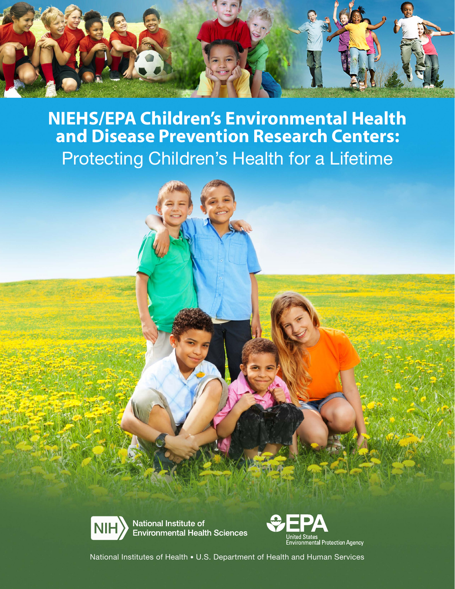

**NIEHS/EPA Children's Environmental Health and Disease Prevention Research Centers:** Protecting Children's Health for a Lifetime





National Institutes of Health • U.S. Department of Health and Human Services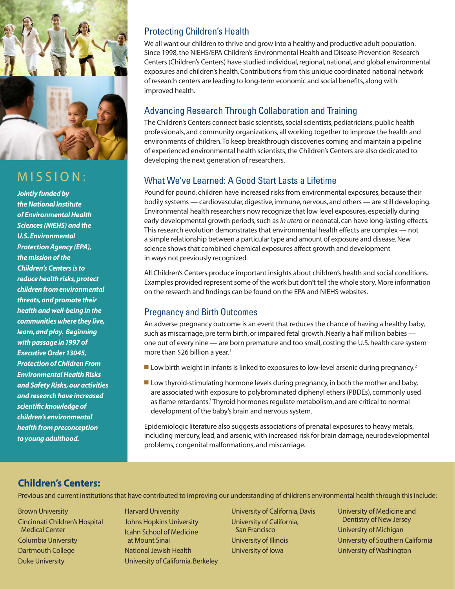

# M I S S I O N :

*Jointly funded by the National Institute of Environmental Health Sciences (NIEHS) and the U.S. Environmental Protection Agency (EPA), the mission of the Children's Centers is to reduce health risks, protect children from environmental threats, and promote their health and well-being in the communities where they live, learn, and play. Beginning with passage in 1997 of Executive Order 13045, Protection of Children From Environmental Health Risks and Safety Risks, our activities and research have increased scientific knowledge of children's environmental health from preconception to young adulthood.*

### Protecting Children's Health

We all want our children to thrive and grow into a healthy and productive adult population. Since 1998, the NIEHS/EPA Children's Environmental Health and Disease Prevention Research Centers (Children's Centers) have studied individual, regional, national, and global environmental exposures and children's health. Contributions from this unique coordinated national network of research centers are leading to long-term economic and social benefits, along with improved health.

# Advancing Research Through Collaboration and Training

The Children's Centers connect basic scientists, social scientists, pediatricians, public health professionals, and community organizations, all working together to improve the health and environments of children. To keep breakthrough discoveries coming and maintain a pipeline of experienced environmental health scientists, the Children's Centers are also dedicated to developing the next generation of researchers.

# What We've Learned: A Good Start Lasts a Lifetime

Pound for pound, children have increased risks from environmental exposures, because their bodily systems — cardiovascular, digestive, immune, nervous, and others — are still developing. Environmental health researchers now recognize that low level exposures, especially during early developmental growth periods, such as *in utero* or neonatal, can have long-lasting effects. This research evolution demonstrates that environmental health effects are complex — not a simple relationship between a particular type and amount of exposure and disease. New science shows that combined chemical exposures affect growth and development in ways not previously recognized.

All Children's Centers produce important insights about children's health and social conditions. Examples provided represent some of the work but don't tell the whole story. More information on the research and findings can be found on the EPA and NIEHS websites.

## Pregnancy and Birth Outcomes

An adverse pregnancy outcome is an event that reduces the chance of having a healthy baby, such as miscarriage, pre term birth, or impaired fetal growth. Nearly a half million babies one out of every nine — are born premature and too small, costing the U.S. health care system more than \$26 billion a year.<sup>1</sup>

- $\blacksquare$  Low birth weight in infants is linked to exposures to low-level arsenic during pregnancy.<sup>2</sup>
- $\blacksquare$  Low thyroid-stimulating hormone levels during pregnancy, in both the mother and baby, are associated with exposure to polybrominated diphenyl ethers (PBDEs), commonly used as flame retardants.<sup>3</sup> Thyroid hormones regulate metabolism, and are critical to normal development of the baby's brain and nervous system.

Epidemiologic literature also suggests associations of prenatal exposures to heavy metals, including mercury, lead, and arsenic, with increased risk for brain damage, neurodevelopmental problems, congenital malformations, and miscarriage.

# **Children's Centers:**

Previous and current institutions that have contributed to improving our understanding of children's environmental health through this include:

Brown University Cincinnati Children's Hospital Medical Center Columbia University Dartmouth College Duke University

Harvard University Johns Hopkins University Icahn School of Medicine at Mount Sinai National Jewish Health University of California, Berkeley University of California, Davis University of California, San Francisco University of Illinois University of Iowa

University of Medicine and Dentistry of New Jersey University of Michigan University of Southern California University of Washington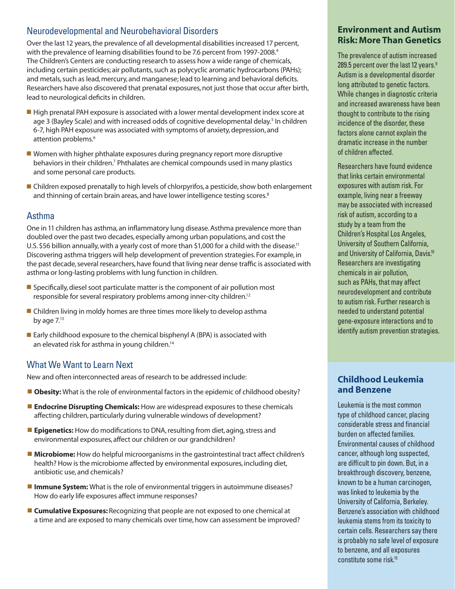### Neurodevelopmental and Neurobehavioral Disorders

Over the last 12 years, the prevalence of all developmental disabilities increased 17 percent, with the prevalence of learning disabilities found to be 7.6 percent from 1997-2008.<sup>4</sup> The Children's Centers are conducting research to assess how a wide range of chemicals, including certain pesticides; air pollutants, such as polycyclic aromatic hydrocarbons (PAHs); and metals, such as lead, mercury, and manganese; lead to learning and behavioral deficits. Researchers have also discovered that prenatal exposures, not just those that occur after birth, lead to neurological deficits in children.

- High prenatal PAH exposure is associated with a lower mental development index score at age 3 (Bayley Scale) and with increased odds of cognitive developmental delay.<sup>5</sup> In children 6-7, high PAH exposure was associated with symptoms of anxiety, depression, and attention problems.<sup>6</sup>
- $\blacksquare$  Women with higher phthalate exposures during pregnancy report more disruptive behaviors in their children.<sup>7</sup> Phthalates are chemical compounds used in many plastics and some personal care products.
- **If** Children exposed prenatally to high levels of chlorpyrifos, a pesticide, show both enlargement and thinning of certain brain areas, and have lower intelligence testing scores.<sup>8</sup>

#### Asthma

One in 11 children has asthma, an inflammatory lung disease. Asthma prevalence more than doubled over the past two decades, especially among urban populations, and cost the U.S. \$56 billion annually, with a yearly cost of more than \$1,000 for a child with the disease.<sup>11</sup> Discovering asthma triggers will help development of prevention strategies. For example, in the past decade, several researchers, have found that living near dense traffic is associated with asthma or long-lasting problems with lung function in children.

- $\blacksquare$  Specifically, diesel soot particulate matter is the component of air pollution most responsible for several respiratory problems among inner-city children.12
- Children living in moldy homes are three times more likely to develop asthma by age  $7.^{13}$
- Early childhood exposure to the chemical bisphenyl A (BPA) is associated with an elevated risk for asthma in young children.<sup>14</sup>

#### What We Want to Learn Next

New and often interconnected areas of research to be addressed include:

- **Dbesity:** What is the role of environmental factors in the epidemic of childhood obesity?
- **Endocrine Disrupting Chemicals:** How are widespread exposures to these chemicals affecting children, particularly during vulnerable windows of development?
- **Epigenetics:** How do modifications to DNA, resulting from diet, aging, stress and environmental exposures, affect our children or our grandchildren?
- **Microbiome:** How do helpful microorganisms in the gastrointestinal tract affect children's health? How is the microbiome affected by environmental exposures, including diet, antibiotic use, and chemicals?
- **Immune System:** What is the role of environmental triggers in autoimmune diseases? How do early life exposures affect immune responses?
- **Exposures:** Recognizing that people are not exposed to one chemical at a time and are exposed to many chemicals over time, how can assessment be improved?

### **Environment and Autism Risk: More Than Genetics**

The prevalence of autism increased 289.5 percent over the last 12 years.<sup>9</sup> Autism is a developmental disorder long attributed to genetic factors. While changes in diagnostic criteria and increased awareness have been thought to contribute to the rising incidence of the disorder, these factors alone cannot explain the dramatic increase in the number of children affected.

Researchers have found evidence that links certain environmental exposures with autism risk. For example, living near a freeway may be associated with increased risk of autism, according to a study by a team from the Children's Hospital Los Angeles, University of Southern California, and University of California, Davis.<sup>10</sup> Researchers are investigating chemicals in air pollution, such as PAHs, that may affect neurodevelopment and contribute to autism risk. Further research is needed to understand potential gene-exposure interactions and to identify autism prevention strategies.

#### **Childhood Leukemia and Benzene**

Leukemia is the most common type of childhood cancer, placing considerable stress and financial burden on affected families. Environmental causes of childhood cancer, although long suspected, are difficult to pin down. But, in a breakthrough discovery, benzene, known to be a human carcinogen, was linked to leukemia by the University of California, Berkeley. Benzene's association with childhood leukemia stems from its toxicity to certain cells. Researchers say there is probably no safe level of exposure to benzene, and all exposures constitute some risk.15